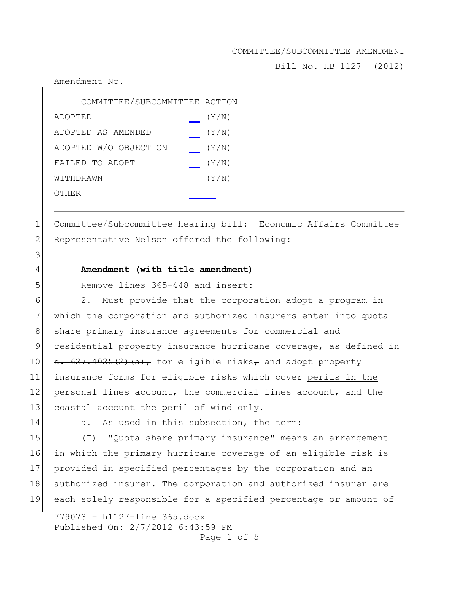Bill No. HB 1127 (2012)

Amendment No.

| COMMITTEE/SUBCOMMITTEE ACTION |       |
|-------------------------------|-------|
| ADOPTED                       | (Y/N) |
| ADOPTED AS AMENDED            | (Y/N) |
| ADOPTED W/O OBJECTION         | (Y/N) |
| FAILED TO ADOPT               | (Y/N) |
| WITHDRAWN                     | (Y/N) |
| OTHER                         |       |

1 Committee/Subcommittee hearing bill: Economic Affairs Committee 2 Representative Nelson offered the following:

# 4 **Amendment (with title amendment)**

5 Remove lines 365-448 and insert:

6 2. Must provide that the corporation adopt a program in 7 which the corporation and authorized insurers enter into quota 8 share primary insurance agreements for commercial and 9 residential property insurance hurricane coverage, as defined in 10  $\sigma$ . 627.4025(2)(a), for eligible risks, and adopt property 11 insurance forms for eligible risks which cover perils in the 12 personal lines account, the commercial lines account, and the 13 coastal account the peril of wind only.

14 a. As used in this subsection, the term:

 (I) "Quota share primary insurance" means an arrangement in which the primary hurricane coverage of an eligible risk is provided in specified percentages by the corporation and an authorized insurer. The corporation and authorized insurer are each solely responsible for a specified percentage or amount of

779073 - h1127-line 365.docx Published On: 2/7/2012 6:43:59 PM Page 1 of 5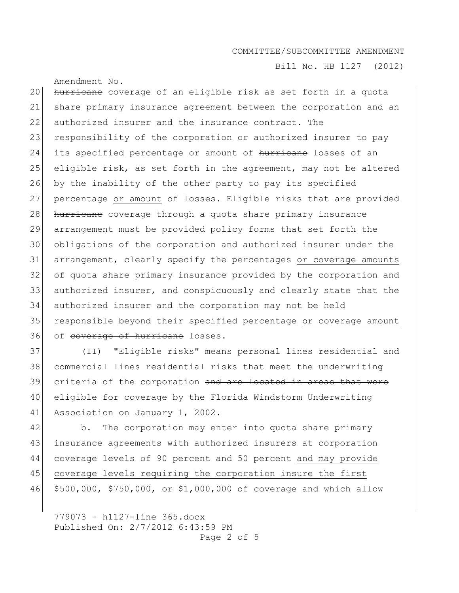Bill No. HB 1127 (2012)

Amendment No. 20 hurricane coverage of an eligible risk as set forth in a quota 21 share primary insurance agreement between the corporation and an 22 authorized insurer and the insurance contract. The 23 responsibility of the corporation or authorized insurer to pay 24 its specified percentage or amount of hurricane losses of an 25 eligible risk, as set forth in the agreement, may not be altered 26 by the inability of the other party to pay its specified 27 percentage or amount of losses. Eligible risks that are provided 28 hurricane coverage through a quota share primary insurance 29 arrangement must be provided policy forms that set forth the 30 obligations of the corporation and authorized insurer under the 31 arrangement, clearly specify the percentages or coverage amounts 32 of quota share primary insurance provided by the corporation and 33 authorized insurer, and conspicuously and clearly state that the 34 authorized insurer and the corporation may not be held 35 responsible beyond their specified percentage or coverage amount 36 of coverage of hurricane losses.

37 (II) "Eligible risks" means personal lines residential and 38 commercial lines residential risks that meet the underwriting 39 criteria of the corporation and are located in areas that were 40 eligible for coverage by the Florida Windstorm Underwriting 41 Association on January 1, 2002.

42 b. The corporation may enter into quota share primary insurance agreements with authorized insurers at corporation coverage levels of 90 percent and 50 percent and may provide coverage levels requiring the corporation insure the first \$500,000, \$750,000, or \$1,000,000 of coverage and which allow

779073 - h1127-line 365.docx Published On: 2/7/2012 6:43:59 PM Page 2 of 5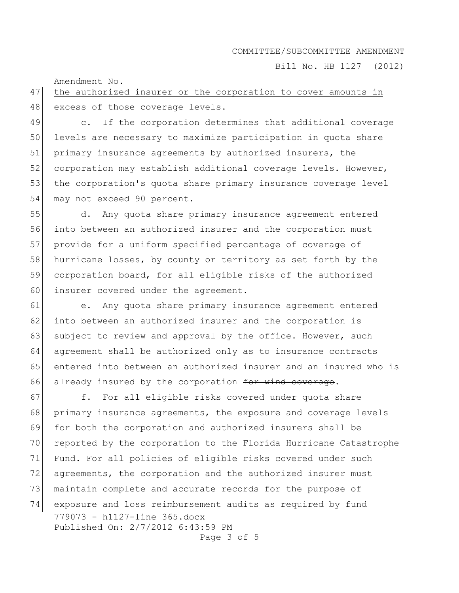Bill No. HB 1127 (2012)

Amendment No.

# 47 the authorized insurer or the corporation to cover amounts in 48 excess of those coverage levels.

49 c. If the corporation determines that additional coverage 50 levels are necessary to maximize participation in quota share 51 primary insurance agreements by authorized insurers, the 52 corporation may establish additional coverage levels. However, 53 the corporation's quota share primary insurance coverage level 54 may not exceed 90 percent.

55 d. Any quota share primary insurance agreement entered 56 into between an authorized insurer and the corporation must 57 provide for a uniform specified percentage of coverage of 58 hurricane losses, by county or territory as set forth by the 59 corporation board, for all eligible risks of the authorized 60 insurer covered under the agreement.

61 e. Any quota share primary insurance agreement entered 62 into between an authorized insurer and the corporation is 63 subject to review and approval by the office. However, such 64 agreement shall be authorized only as to insurance contracts 65 entered into between an authorized insurer and an insured who is 66 already insured by the corporation  $f$ or wind coverage.

779073 - h1127-line 365.docx Published On: 2/7/2012 6:43:59 PM 67 f. For all eligible risks covered under quota share 68 primary insurance agreements, the exposure and coverage levels 69 for both the corporation and authorized insurers shall be 70 reported by the corporation to the Florida Hurricane Catastrophe 71 Fund. For all policies of eligible risks covered under such 72 agreements, the corporation and the authorized insurer must 73 maintain complete and accurate records for the purpose of 74 exposure and loss reimbursement audits as required by fund

Page 3 of 5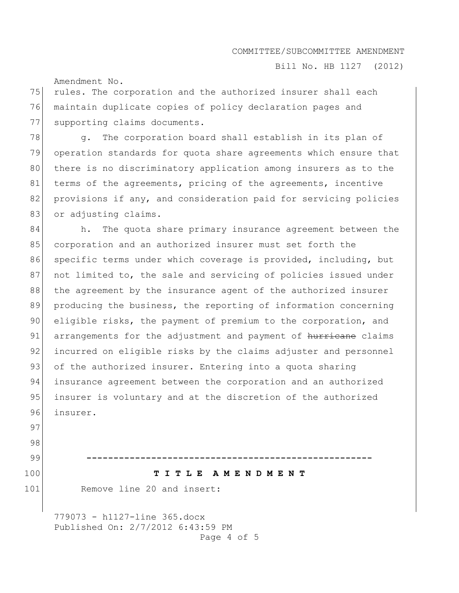Bill No. HB 1127 (2012)

Amendment No.

75 rules. The corporation and the authorized insurer shall each 76 maintain duplicate copies of policy declaration pages and 77 supporting claims documents.

78 q. The corporation board shall establish in its plan of 79 operation standards for quota share agreements which ensure that 80 there is no discriminatory application among insurers as to the 81 terms of the agreements, pricing of the agreements, incentive 82 provisions if any, and consideration paid for servicing policies 83 or adjusting claims.

84 h. The quota share primary insurance agreement between the 85 corporation and an authorized insurer must set forth the 86 specific terms under which coverage is provided, including, but 87 not limited to, the sale and servicing of policies issued under 88 the agreement by the insurance agent of the authorized insurer 89 producing the business, the reporting of information concerning 90 eligible risks, the payment of premium to the corporation, and 91 arrangements for the adjustment and payment of hurricane claims 92 incurred on eligible risks by the claims adjuster and personnel 93 of the authorized insurer. Entering into a quota sharing 94 insurance agreement between the corporation and an authorized 95 insurer is voluntary and at the discretion of the authorized 96 insurer.

- 97
- 98
- 
- 99 **-----------------------------------------------------**

### 100 **T I T L E A M E N D M E N T**

101 Remove line 20 and insert:

779073 - h1127-line 365.docx Published On: 2/7/2012 6:43:59 PM Page 4 of 5